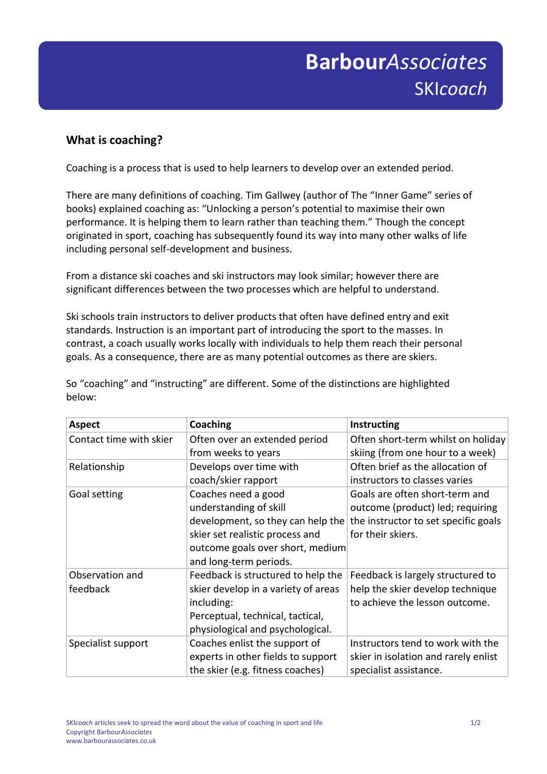## Submission F **Barbour***Associates* SKI*coach*

## **What is coaching?**

Coaching is a process that is used to help learners to develop over an extended period.

There are many definitions of coaching. Tim Gallwey (author of The "Inner Game" series of books) explained coaching as: "Unlocking a person's potential to maximise their own performance. It is helping them to learn rather than teaching them." Though the concept originated in sport, coaching has subsequently found its way into many other walks of life including personal self-development and business.

From a distance ski coaches and ski instructors may look similar; however there are significant differences between the two processes which are helpful to understand.

Ski schools train instructors to deliver products that often have defined entry and exit standards. Instruction is an important part of introducing the sport to the masses. In contrast, a coach usually works locally with individuals to help them reach their personal goals. As a consequence, there are as many potential outcomes as there are skiers.

So "coaching" and "instructing" are different. Some of the distinctions are highlighted below:

| <b>Aspect</b>           | Coaching                            | Instructing                          |
|-------------------------|-------------------------------------|--------------------------------------|
| Contact time with skier | Often over an extended period       | Often short-term whilst on holiday   |
|                         | from weeks to years                 | skiing (from one hour to a week)     |
| Relationship            | Develops over time with             | Often brief as the allocation of     |
|                         | coach/skier rapport                 | instructors to classes varies        |
| Goal setting            | Coaches need a good                 | Goals are often short-term and       |
|                         | understanding of skill              | outcome (product) led; requiring     |
|                         | development, so they can help the   | the instructor to set specific goals |
|                         | skier set realistic process and     | for their skiers.                    |
|                         | outcome goals over short, medium    |                                      |
|                         | and long-term periods.              |                                      |
| Observation and         | Feedback is structured to help the  | Feedback is largely structured to    |
| feedback                | skier develop in a variety of areas | help the skier develop technique     |
|                         | including:                          | to achieve the lesson outcome.       |
|                         | Perceptual, technical, tactical,    |                                      |
|                         | physiological and psychological.    |                                      |
| Specialist support      | Coaches enlist the support of       | Instructors tend to work with the    |
|                         | experts in other fields to support  | skier in isolation and rarely enlist |
|                         | the skier (e.g. fitness coaches)    | specialist assistance.               |